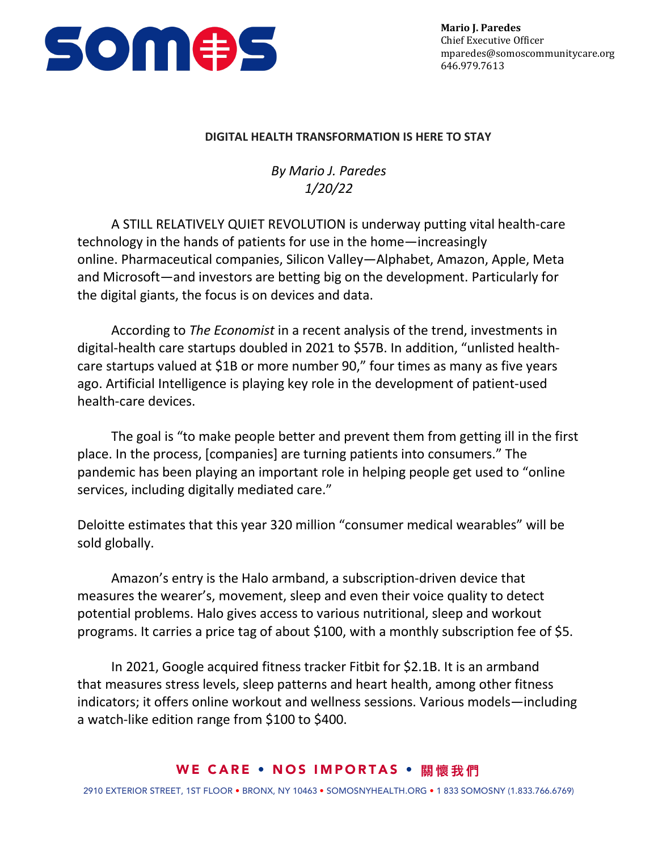

## **DIGITAL HEALTH TRANSFORMATION IS HERE TO STAY**

*By Mario J. Paredes 1/20/22*

A STILL RELATIVELY QUIET REVOLUTION is underway putting vital health-care technology in the hands of patients for use in the home—increasingly online. Pharmaceutical companies, Silicon Valley—Alphabet, Amazon, Apple, Meta and Microsoft—and investors are betting big on the development. Particularly for the digital giants, the focus is on devices and data.

According to *The Economist* in a recent analysis of the trend, investments in digital-health care startups doubled in 2021 to \$57B. In addition, "unlisted healthcare startups valued at \$1B or more number 90," four times as many as five years ago. Artificial Intelligence is playing key role in the development of patient-used health-care devices.

The goal is "to make people better and prevent them from getting ill in the first place. In the process, [companies] are turning patients into consumers." The pandemic has been playing an important role in helping people get used to "online services, including digitally mediated care."

Deloitte estimates that this year 320 million "consumer medical wearables" will be sold globally.

Amazon's entry is the Halo armband, a subscription-driven device that measures the wearer's, movement, sleep and even their voice quality to detect potential problems. Halo gives access to various nutritional, sleep and workout programs. It carries a price tag of about \$100, with a monthly subscription fee of \$5.

In 2021, Google acquired fitness tracker Fitbit for \$2.1B. It is an armband that measures stress levels, sleep patterns and heart health, among other fitness indicators; it offers online workout and wellness sessions. Various models—including a watch-like edition range from \$100 to \$400.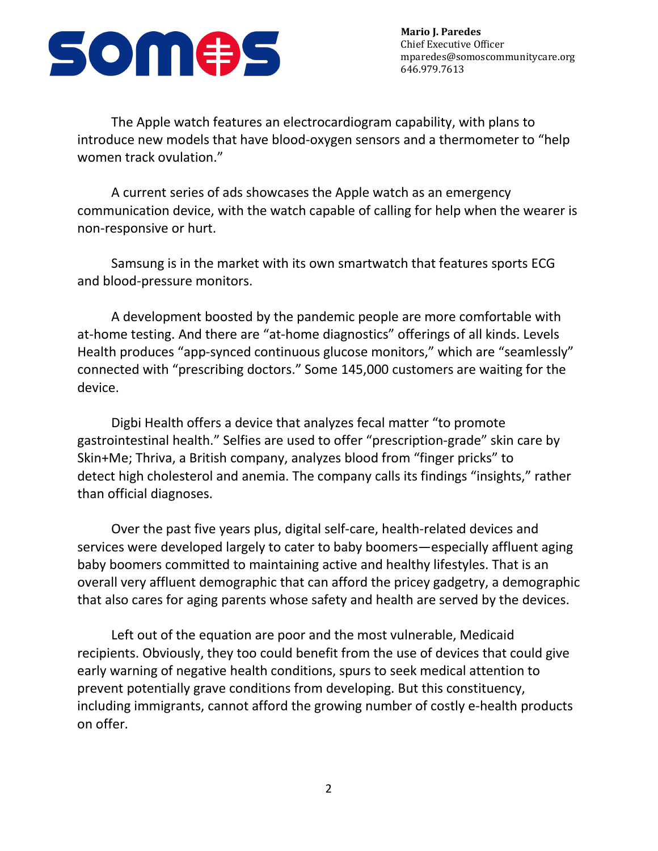

**Mario J. Paredes** Chief Executive Officer mparedes@somoscommunitycare.org 646.979.7613

The Apple watch features an electrocardiogram capability, with plans to introduce new models that have blood-oxygen sensors and a thermometer to "help women track ovulation."

A current series of ads showcases the Apple watch as an emergency communication device, with the watch capable of calling for help when the wearer is non-responsive or hurt.

Samsung is in the market with its own smartwatch that features sports ECG and blood-pressure monitors.

A development boosted by the pandemic people are more comfortable with at-home testing. And there are "at-home diagnostics" offerings of all kinds. Levels Health produces "app-synced continuous glucose monitors," which are "seamlessly" connected with "prescribing doctors." Some 145,000 customers are waiting for the device.

Digbi Health offers a device that analyzes fecal matter "to promote gastrointestinal health." Selfies are used to offer "prescription-grade" skin care by Skin+Me; Thriva, a British company, analyzes blood from "finger pricks" to detect high cholesterol and anemia. The company calls its findings "insights," rather than official diagnoses.

Over the past five years plus, digital self-care, health-related devices and services were developed largely to cater to baby boomers—especially affluent aging baby boomers committed to maintaining active and healthy lifestyles. That is an overall very affluent demographic that can afford the pricey gadgetry, a demographic that also cares for aging parents whose safety and health are served by the devices.

Left out of the equation are poor and the most vulnerable, Medicaid recipients. Obviously, they too could benefit from the use of devices that could give early warning of negative health conditions, spurs to seek medical attention to prevent potentially grave conditions from developing. But this constituency, including immigrants, cannot afford the growing number of costly e-health products on offer.